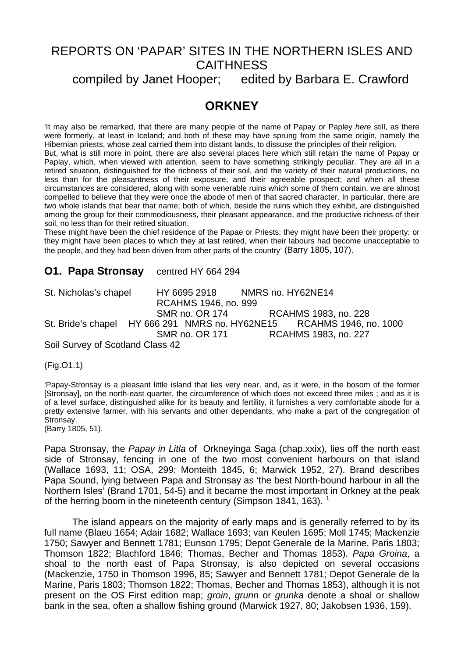# REPORTS ON 'PAPAR' SITES IN THE NORTHERN ISLES AND **CAITHNESS**

compiled by Janet Hooper; edited by Barbara E. Crawford

# **ORKNEY**

'It may also be remarked, that there are many people of the name of Papay or Papley *here* still, as there were formerly, at least in Iceland; and both of these may have sprung from the same origin, namely the Hibernian priests, whose zeal carried them into distant lands, to dissuse the principles of their religion.

But, what is still more in point, there are also several places here which still retain the name of Papay or Paplay, which, when viewed with attention, seem to have something strikingly peculiar. They are all in a retired situation, distinguished for the richness of their soil, and the variety of their natural productions, no less than for the pleasantness of their exposure, and their agreeable prospect; and when all these circumstances are considered, along with some venerable ruins which some of them contain, we are almost compelled to believe that they were once the abode of men of that sacred character. In particular, there are two whole islands that bear that name; both of which, beside the ruins which they exhibit, are distinguished among the group for their commodiousness, their pleasant appearance, and the productive richness of their soil, no less than for their retired situation.

These might have been the chief residence of the Papae or Priests; they might have been their property; or they might have been places to which they at last retired, when their labours had become unacceptable to the people, and they had been driven from other parts of the country' (Barry 1805, 107).

### **O1. Papa Stronsay** centred HY 664 294

St. Nicholas's chapel HY 6695 2918 NMRS no. HY62NE14 RCAHMS 1946, no. 999 SMR no. OR 174 RCAHMS 1983, no. 228 St. Bride's chapel HY 666 291 NMRS no. HY62NE15 RCAHMS 1946, no. 1000 SMR no. OR 171 RCAHMS 1983, no. 227

Soil Survey of Scotland Class 42

(Fig.O1.1)

'Papay-Stronsay is a pleasant little island that lies very near, and, as it were, in the bosom of the former [Stronsay], on the north-east quarter, the circumference of which does not exceed three miles ; and as it is of a level surface, distinguished alike for its beauty and fertility, it furnishes a very comfortable abode for a pretty extensive farmer, with his servants and other dependants, who make a part of the congregation of Stronsay.

(Barry 1805, 51).

Papa Stronsay, the *Papay in Litla* of Orkneyinga Saga (chap.xxix), lies off the north east side of Stronsay, fencing in one of the two most convenient harbours on that island (Wallace 1693, 11; OSA, 299; Monteith 1845, 6; Marwick 1952, 27). Brand describes Papa Sound, lying between Papa and Stronsay as 'the best North-bound harbour in all the Northern Isles' (Brand 1701, 54-5) and it became the most important in Orkney at the peak of the herring boom in the nineteenth century (Simpson [1](#page-6-0)841, 163).  $<sup>1</sup>$ </sup>

 The island appears on the majority of early maps and is generally referred to by its full name (Blaeu 1654; Adair 1682; Wallace 1693; van Keulen 1695; Moll 1745; Mackenzie 1750; Sawyer and Bennett 1781; Eunson 1795; Depot Generale de la Marine, Paris 1803; Thomson 1822; Blachford 1846; Thomas, Becher and Thomas 1853). *Papa Groina*, a shoal to the north east of Papa Stronsay, is also depicted on several occasions (Mackenzie, 1750 in Thomson 1996, 85; Sawyer and Bennett 1781; Depot Generale de la Marine, Paris 1803; Thomson 1822; Thomas, Becher and Thomas 1853), although it is not present on the OS First edition map; *groin*, *grunn* or *grunka* denote a shoal or shallow bank in the sea, often a shallow fishing ground (Marwick 1927, 80; Jakobsen 1936, 159).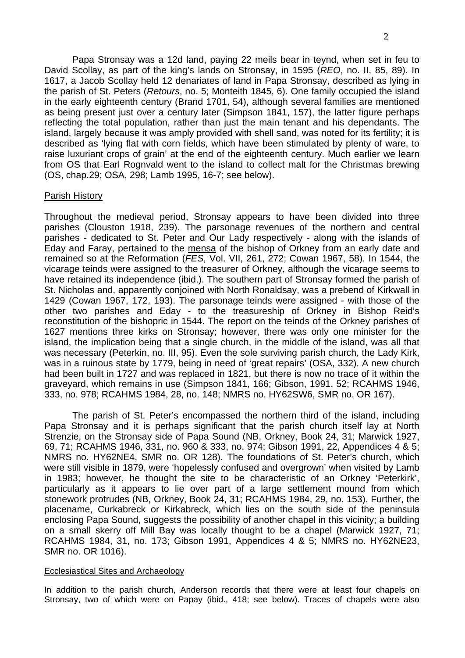Papa Stronsay was a 12d land, paying 22 meils bear in teynd, when set in feu to David Scollay, as part of the king's lands on Stronsay, in 1595 (*REO*, no. II, 85, 89). In 1617, a Jacob Scollay held 12 denariates of land in Papa Stronsay, described as lying in the parish of St. Peters (*Retours*, no. 5; Monteith 1845, 6). One family occupied the island in the early eighteenth century (Brand 1701, 54), although several families are mentioned as being present just over a century later (Simpson 1841, 157), the latter figure perhaps reflecting the total population, rather than just the main tenant and his dependants. The island, largely because it was amply provided with shell sand, was noted for its fertility; it is described as 'lying flat with corn fields, which have been stimulated by plenty of ware, to raise luxuriant crops of grain' at the end of the eighteenth century. Much earlier we learn from OS that Earl Rognvald went to the island to collect malt for the Christmas brewing (OS, chap.29; OSA, 298; Lamb 1995, 16-7; see below).

#### Parish History

Throughout the medieval period, Stronsay appears to have been divided into three parishes (Clouston 1918, 239). The parsonage revenues of the northern and central parishes - dedicated to St. Peter and Our Lady respectively - along with the islands of Eday and Faray, pertained to the mensa of the bishop of Orkney from an early date and remained so at the Reformation (*FES*, Vol. VII, 261, 272; Cowan 1967, 58). In 1544, the vicarage teinds were assigned to the treasurer of Orkney, although the vicarage seems to have retained its independence (ibid.). The southern part of Stronsay formed the parish of St. Nicholas and, apparently conjoined with North Ronaldsay, was a prebend of Kirkwall in 1429 (Cowan 1967, 172, 193). The parsonage teinds were assigned - with those of the other two parishes and Eday - to the treasureship of Orkney in Bishop Reid's reconstitution of the bishopric in 1544. The report on the teinds of the Orkney parishes of 1627 mentions three kirks on Stronsay; however, there was only one minister for the island, the implication being that a single church, in the middle of the island, was all that was necessary (Peterkin, no. III, 95). Even the sole surviving parish church, the Lady Kirk, was in a ruinous state by 1779, being in need of 'great repairs' (OSA, 332). A new church had been built in 1727 and was replaced in 1821, but there is now no trace of it within the graveyard, which remains in use (Simpson 1841, 166; Gibson, 1991, 52; RCAHMS 1946, 333, no. 978; RCAHMS 1984, 28, no. 148; NMRS no. HY62SW6, SMR no. OR 167).

 The parish of St. Peter's encompassed the northern third of the island, including Papa Stronsay and it is perhaps significant that the parish church itself lay at North Strenzie, on the Stronsay side of Papa Sound (NB, Orkney, Book 24, 31; Marwick 1927, 69, 71; RCAHMS 1946, 331, no. 960 & 333, no. 974; Gibson 1991, 22, Appendices 4 & 5; NMRS no. HY62NE4, SMR no. OR 128). The foundations of St. Peter's church, which were still visible in 1879, were 'hopelessly confused and overgrown' when visited by Lamb in 1983; however, he thought the site to be characteristic of an Orkney 'Peterkirk', particularly as it appears to lie over part of a large settlement mound from which stonework protrudes (NB, Orkney, Book 24, 31; RCAHMS 1984, 29, no. 153). Further, the placename, Curkabreck or Kirkabreck, which lies on the south side of the peninsula enclosing Papa Sound, suggests the possibility of another chapel in this vicinity; a building on a small skerry off Mill Bay was locally thought to be a chapel (Marwick 1927, 71; RCAHMS 1984, 31, no. 173; Gibson 1991, Appendices 4 & 5; NMRS no. HY62NE23, SMR no. OR 1016).

#### Ecclesiastical Sites and Archaeology

In addition to the parish church, Anderson records that there were at least four chapels on Stronsay, two of which were on Papay (ibid., 418; see below). Traces of chapels were also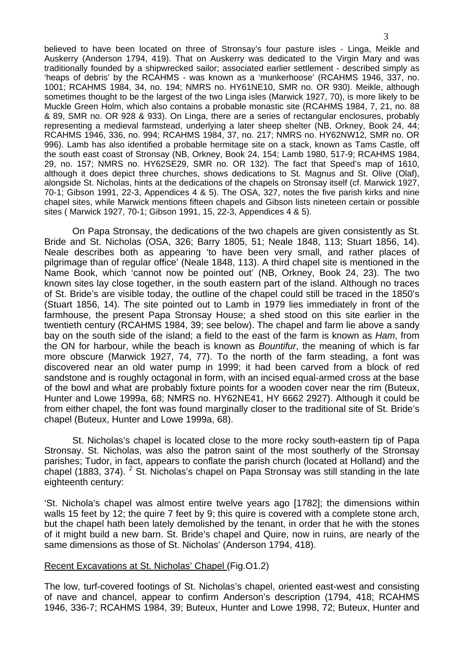believed to have been located on three of Stronsay's four pasture isles - Linga, Meikle and Auskerry (Anderson 1794, 419). That on Auskerry was dedicated to the Virgin Mary and was traditionally founded by a shipwrecked sailor; associated earlier settlement - described simply as 'heaps of debris' by the RCAHMS - was known as a 'munkerhoose' (RCAHMS 1946, 337, no. 1001; RCAHMS 1984, 34, no. 194; NMRS no. HY61NE10, SMR no. OR 930). Meikle, although sometimes thought to be the largest of the two Linga isles (Marwick 1927, 70), is more likely to be Muckle Green Holm, which also contains a probable monastic site (RCAHMS 1984, 7, 21, no. 88 & 89, SMR no. OR 928 & 933). On Linga, there are a series of rectangular enclosures, probably representing a medieval farmstead, underlying a later sheep shelter (NB, Orkney, Book 24, 44; RCAHMS 1946, 336, no. 994; RCAHMS 1984, 37, no. 217; NMRS no. HY62NW12, SMR no. OR 996). Lamb has also identified a probable hermitage site on a stack, known as Tams Castle, off the south east coast of Stronsay (NB, Orkney, Book 24, 154; Lamb 1980, 517-9; RCAHMS 1984, 29, no. 157; NMRS no. HY62SE29, SMR no. OR 132). The fact that Speed's map of 1610, although it does depict three churches, shows dedications to St. Magnus and St. Olive (Olaf), alongside St. Nicholas, hints at the dedications of the chapels on Stronsay itself (cf. Marwick 1927, 70-1; Gibson 1991, 22-3, Appendices 4 & 5). The OSA, 327, notes the five parish kirks and nine chapel sites, while Marwick mentions fifteen chapels and Gibson lists nineteen certain or possible sites ( Marwick 1927, 70-1; Gibson 1991, 15, 22-3, Appendices 4 & 5).

 On Papa Stronsay, the dedications of the two chapels are given consistently as St. Bride and St. Nicholas (OSA, 326; Barry 1805, 51; Neale 1848, 113; Stuart 1856, 14). Neale describes both as appearing 'to have been very small, and rather places of pilgrimage than of regular office' (Neale 1848, 113). A third chapel site is mentioned in the Name Book, which 'cannot now be pointed out' (NB, Orkney, Book 24, 23). The two known sites lay close together, in the south eastern part of the island. Although no traces of St. Bride's are visible today, the outline of the chapel could still be traced in the 1850's (Stuart 1856, 14). The site pointed out to Lamb in 1979 lies immediately in front of the farmhouse, the present Papa Stronsay House; a shed stood on this site earlier in the twentieth century (RCAHMS 1984, 39; see below). The chapel and farm lie above a sandy bay on the south side of the island; a field to the east of the farm is known as *Ham*, from the ON for harbour, while the beach is known as *Bountifur*, the meaning of which is far more obscure (Marwick 1927, 74, 77). To the north of the farm steading, a font was discovered near an old water pump in 1999; it had been carved from a block of red sandstone and is roughly octagonal in form, with an incised equal-armed cross at the base of the bowl and what are probably fixture points for a wooden cover near the rim (Buteux, Hunter and Lowe 1999a, 68; NMRS no. HY62NE41, HY 6662 2927). Although it could be from either chapel, the font was found marginally closer to the traditional site of St. Bride's chapel (Buteux, Hunter and Lowe 1999a, 68).

 St. Nicholas's chapel is located close to the more rocky south-eastern tip of Papa Stronsay. St. Nicholas, was also the patron saint of the most southerly of the Stronsay parishes; Tudor, in fact, appears to conflate the parish church (located at Holland) and the chapel (1883, 374). <sup>[2](#page-6-1)</sup> St. Nicholas's chapel on Papa Stronsay was still standing in the late eighteenth century:

'St. Nichola's chapel was almost entire twelve years ago [1782]; the dimensions within walls 15 feet by 12; the quire 7 feet by 9; this quire is covered with a complete stone arch, but the chapel hath been lately demolished by the tenant, in order that he with the stones of it might build a new barn. St. Bride's chapel and Quire, now in ruins, are nearly of the same dimensions as those of St. Nicholas' (Anderson 1794, 418).

### Recent Excavations at St. Nicholas' Chapel (Fig.O1.2)

The low, turf-covered footings of St. Nicholas's chapel, oriented east-west and consisting of nave and chancel, appear to confirm Anderson's description (1794, 418; RCAHMS 1946, 336-7; RCAHMS 1984, 39; Buteux, Hunter and Lowe 1998, 72; Buteux, Hunter and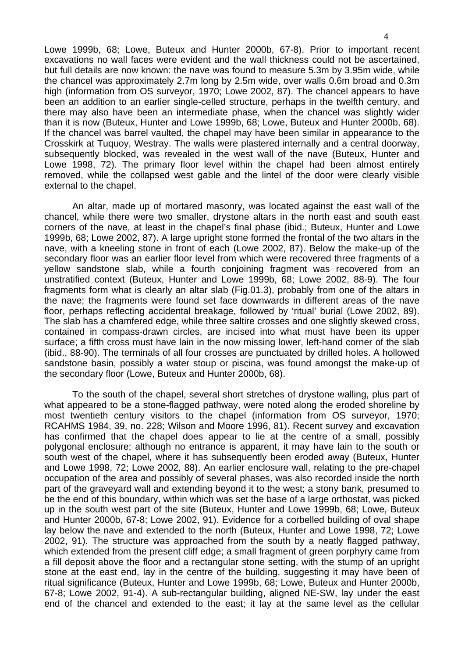Lowe 1999b, 68; Lowe, Buteux and Hunter 2000b, 67-8). Prior to important recent excavations no wall faces were evident and the wall thickness could not be ascertained, but full details are now known: the nave was found to measure 5.3m by 3.95m wide, while the chancel was approximately 2.7m long by 2.5m wide, over walls 0.6m broad and 0.3m high (information from OS surveyor, 1970; Lowe 2002, 87). The chancel appears to have been an addition to an earlier single-celled structure, perhaps in the twelfth century, and there may also have been an intermediate phase, when the chancel was slightly wider than it is now (Buteux, Hunter and Lowe 1999b, 68; Lowe, Buteux and Hunter 2000b, 68). If the chancel was barrel vaulted, the chapel may have been similar in appearance to the Crosskirk at Tuquoy, Westray. The walls were plastered internally and a central doorway, subsequently blocked, was revealed in the west wall of the nave (Buteux, Hunter and Lowe 1998, 72). The primary floor level within the chapel had been almost entirely removed, while the collapsed west gable and the lintel of the door were clearly visible external to the chapel.

 An altar, made up of mortared masonry, was located against the east wall of the chancel, while there were two smaller, drystone altars in the north east and south east corners of the nave, at least in the chapel's final phase (ibid.; Buteux, Hunter and Lowe 1999b, 68; Lowe 2002, 87). A large upright stone formed the frontal of the two altars in the nave, with a kneeling stone in front of each (Lowe 2002, 87). Below the make-up of the secondary floor was an earlier floor level from which were recovered three fragments of a yellow sandstone slab, while a fourth conjoining fragment was recovered from an unstratified context (Buteux, Hunter and Lowe 1999b, 68; Lowe 2002, 88-9). The four fragments form what is clearly an altar slab (Fig.01.3), probably from one of the altars in the nave; the fragments were found set face downwards in different areas of the nave floor, perhaps reflecting accidental breakage, followed by 'ritual' burial (Lowe 2002, 89). The slab has a chamfered edge, while three saltire crosses and one slightly skewed cross, contained in compass-drawn circles, are incised into what must have been its upper surface; a fifth cross must have lain in the now missing lower, left-hand corner of the slab (ibid., 88-90). The terminals of all four crosses are punctuated by drilled holes. A hollowed sandstone basin, possibly a water stoup or piscina, was found amongst the make-up of the secondary floor (Lowe, Buteux and Hunter 2000b, 68).

 To the south of the chapel, several short stretches of drystone walling, plus part of what appeared to be a stone-flagged pathway, were noted along the eroded shoreline by most twentieth century visitors to the chapel (information from OS surveyor, 1970; RCAHMS 1984, 39, no. 228; Wilson and Moore 1996, 81). Recent survey and excavation has confirmed that the chapel does appear to lie at the centre of a small, possibly polygonal enclosure; although no entrance is apparent, it may have lain to the south or south west of the chapel, where it has subsequently been eroded away (Buteux, Hunter and Lowe 1998, 72; Lowe 2002, 88). An earlier enclosure wall, relating to the pre-chapel occupation of the area and possibly of several phases, was also recorded inside the north part of the graveyard wall and extending beyond it to the west; a stony bank, presumed to be the end of this boundary, within which was set the base of a large orthostat, was picked up in the south west part of the site (Buteux, Hunter and Lowe 1999b, 68; Lowe, Buteux and Hunter 2000b, 67-8; Lowe 2002, 91). Evidence for a corbelled building of oval shape lay below the nave and extended to the north (Buteux, Hunter and Lowe 1998, 72; Lowe 2002, 91). The structure was approached from the south by a neatly flagged pathway, which extended from the present cliff edge; a small fragment of green porphyry came from a fill deposit above the floor and a rectangular stone setting, with the stump of an upright stone at the east end, lay in the centre of the building, suggesting it may have been of ritual significance (Buteux, Hunter and Lowe 1999b, 68; Lowe, Buteux and Hunter 2000b, 67-8; Lowe 2002, 91-4). A sub-rectangular building, aligned NE-SW, lay under the east end of the chancel and extended to the east; it lay at the same level as the cellular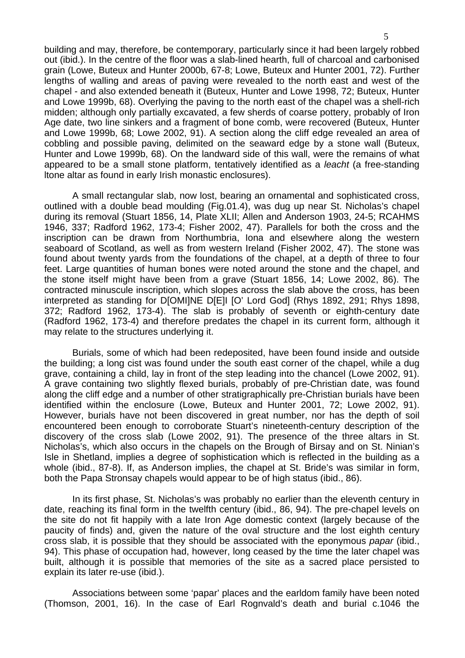building and may, therefore, be contemporary, particularly since it had been largely robbed out (ibid.). In the centre of the floor was a slab-lined hearth, full of charcoal and carbonised grain (Lowe, Buteux and Hunter 2000b, 67-8; Lowe, Buteux and Hunter 2001, 72). Further lengths of walling and areas of paving were revealed to the north east and west of the chapel - and also extended beneath it (Buteux, Hunter and Lowe 1998, 72; Buteux, Hunter and Lowe 1999b, 68). Overlying the paving to the north east of the chapel was a shell-rich midden; although only partially excavated, a few sherds of coarse pottery, probably of Iron Age date, two line sinkers and a fragment of bone comb, were recovered (Buteux, Hunter and Lowe 1999b, 68; Lowe 2002, 91). A section along the cliff edge revealed an area of cobbling and possible paving, delimited on the seaward edge by a stone wall (Buteux, Hunter and Lowe 1999b, 68). On the landward side of this wall, were the remains of what appeared to be a small stone platform, tentatively identified as a *leacht* (a free-standing ltone altar as found in early Irish monastic enclosures).

 A small rectangular slab, now lost, bearing an ornamental and sophisticated cross, outlined with a double bead moulding (Fig.01.4), was dug up near St. Nicholas's chapel during its removal (Stuart 1856, 14, Plate XLII; Allen and Anderson 1903, 24-5; RCAHMS 1946, 337; Radford 1962, 173-4; Fisher 2002, 47). Parallels for both the cross and the inscription can be drawn from Northumbria, Iona and elsewhere along the western seaboard of Scotland, as well as from western Ireland (Fisher 2002, 47). The stone was found about twenty yards from the foundations of the chapel, at a depth of three to four feet. Large quantities of human bones were noted around the stone and the chapel, and the stone itself might have been from a grave (Stuart 1856, 14; Lowe 2002, 86). The contracted minuscule inscription, which slopes across the slab above the cross, has been interpreted as standing for D[OMI]NE D[E]I [O' Lord God] (Rhys 1892, 291; Rhys 1898, 372; Radford 1962, 173-4). The slab is probably of seventh or eighth-century date (Radford 1962, 173-4) and therefore predates the chapel in its current form, although it may relate to the structures underlying it.

 Burials, some of which had been redeposited, have been found inside and outside the building; a long cist was found under the south east corner of the chapel, while a dug grave, containing a child, lay in front of the step leading into the chancel (Lowe 2002, 91). A grave containing two slightly flexed burials, probably of pre-Christian date, was found along the cliff edge and a number of other stratigraphically pre-Christian burials have been identified within the enclosure (Lowe, Buteux and Hunter 2001, 72; Lowe 2002, 91). However, burials have not been discovered in great number, nor has the depth of soil encountered been enough to corroborate Stuart's nineteenth-century description of the discovery of the cross slab (Lowe 2002, 91). The presence of the three altars in St. Nicholas's, which also occurs in the chapels on the Brough of Birsay and on St. Ninian's Isle in Shetland, implies a degree of sophistication which is reflected in the building as a whole (ibid., 87-8). If, as Anderson implies, the chapel at St. Bride's was similar in form, both the Papa Stronsay chapels would appear to be of high status (ibid., 86).

 In its first phase, St. Nicholas's was probably no earlier than the eleventh century in date, reaching its final form in the twelfth century (ibid., 86, 94). The pre-chapel levels on the site do not fit happily with a late Iron Age domestic context (largely because of the paucity of finds) and, given the nature of the oval structure and the lost eighth century cross slab, it is possible that they should be associated with the eponymous *papar* (ibid., 94). This phase of occupation had, however, long ceased by the time the later chapel was built, although it is possible that memories of the site as a sacred place persisted to explain its later re-use (ibid.).

 Associations between some 'papar' places and the earldom family have been noted (Thomson, 2001, 16). In the case of Earl Rognvald's death and burial c.1046 the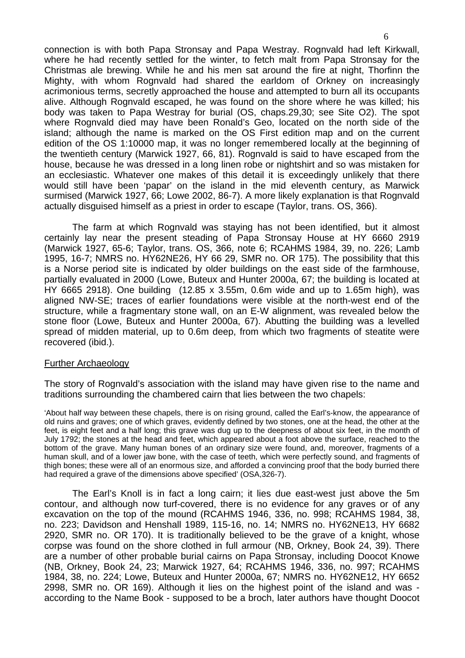connection is with both Papa Stronsay and Papa Westray. Rognvald had left Kirkwall, where he had recently settled for the winter, to fetch malt from Papa Stronsay for the Christmas ale brewing. While he and his men sat around the fire at night, Thorfinn the Mighty, with whom Rognvald had shared the earldom of Orkney on increasingly acrimonious terms, secretly approached the house and attempted to burn all its occupants alive. Although Rognvald escaped, he was found on the shore where he was killed; his body was taken to Papa Westray for burial (OS, chaps.29,30; see Site O2). The spot where Rognvald died may have been Ronald's Geo, located on the north side of the island; although the name is marked on the OS First edition map and on the current edition of the OS 1:10000 map, it was no longer remembered locally at the beginning of the twentieth century (Marwick 1927, 66, 81). Rognvald is said to have escaped from the house, because he was dressed in a long linen robe or nightshirt and so was mistaken for an ecclesiastic. Whatever one makes of this detail it is exceedingly unlikely that there would still have been 'papar' on the island in the mid eleventh century, as Marwick surmised (Marwick 1927, 66; Lowe 2002, 86-7). A more likely explanation is that Rognvald actually disguised himself as a priest in order to escape (Taylor, trans. OS, 366).

 The farm at which Rognvald was staying has not been identified, but it almost certainly lay near the present steading of Papa Stronsay House at HY 6660 2919 (Marwick 1927, 65-6; Taylor, trans. OS, 366, note 6; RCAHMS 1984, 39, no. 226; Lamb 1995, 16-7; NMRS no. HY62NE26, HY 66 29, SMR no. OR 175). The possibility that this is a Norse period site is indicated by older buildings on the east side of the farmhouse, partially evaluated in 2000 (Lowe, Buteux and Hunter 2000a, 67; the building is located at HY 6665 2918). One building (12.85 x 3.55m, 0.6m wide and up to 1.65m high), was aligned NW-SE; traces of earlier foundations were visible at the north-west end of the structure, while a fragmentary stone wall, on an E-W alignment, was revealed below the stone floor (Lowe, Buteux and Hunter 2000a, 67). Abutting the building was a levelled spread of midden material, up to 0.6m deep, from which two fragments of steatite were recovered (ibid.).

#### Further Archaeology

The story of Rognvald's association with the island may have given rise to the name and traditions surrounding the chambered cairn that lies between the two chapels:

'About half way between these chapels, there is on rising ground, called the Earl's-know, the appearance of old ruins and graves; one of which graves, evidently defined by two stones, one at the head, the other at the feet, is eight feet and a half long; this grave was dug up to the deepness of about six feet, in the month of July 1792; the stones at the head and feet, which appeared about a foot above the surface, reached to the bottom of the grave. Many human bones of an ordinary size were found, and, moreover, fragments of a human skull, and of a lower jaw bone, with the case of teeth, which were perfectly sound, and fragments of thigh bones; these were all of an enormous size, and afforded a convincing proof that the body burried there had required a grave of the dimensions above specified' (OSA,326-7).

 The Earl's Knoll is in fact a long cairn; it lies due east-west just above the 5m contour, and although now turf-covered, there is no evidence for any graves or of any excavation on the top of the mound (RCAHMS 1946, 336, no. 998; RCAHMS 1984, 38, no. 223; Davidson and Henshall 1989, 115-16, no. 14; NMRS no. HY62NE13, HY 6682 2920, SMR no. OR 170). It is traditionally believed to be the grave of a knight, whose corpse was found on the shore clothed in full armour (NB, Orkney, Book 24, 39). There are a number of other probable burial cairns on Papa Stronsay, including Doocot Knowe (NB, Orkney, Book 24, 23; Marwick 1927, 64; RCAHMS 1946, 336, no. 997; RCAHMS 1984, 38, no. 224; Lowe, Buteux and Hunter 2000a, 67; NMRS no. HY62NE12, HY 6652 2998, SMR no. OR 169). Although it lies on the highest point of the island and was according to the Name Book - supposed to be a broch, later authors have thought Doocot